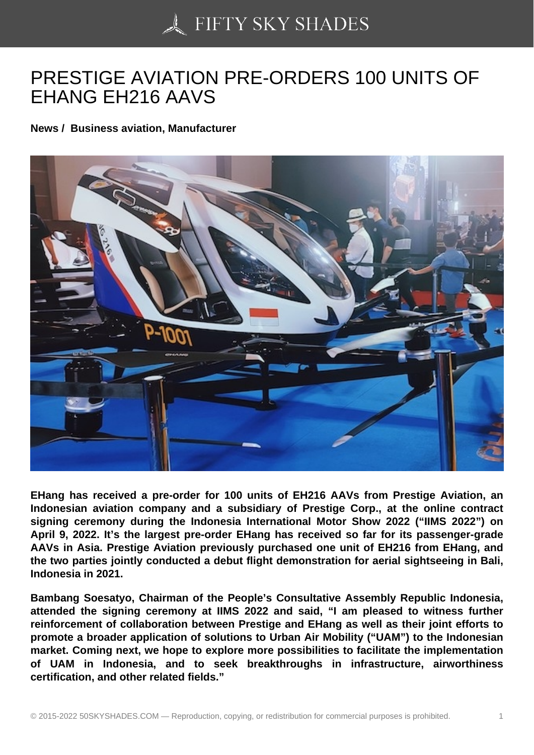## [PRESTIGE AVIATION](https://50skyshades.com) PRE-ORDERS 100 UNITS OF EHANG EH216 AAVS

News / Business aviation, Manufacturer

EHang has received a pre-order for 100 units of EH216 AAVs from Prestige Aviation, an Indonesian aviation company and a subsidiary of Prestige Corp., at the online contract signing ceremony during the Indonesia International Motor Show 2022 ("IIMS 2022") on April 9, 2022. It's the largest pre-order EHang has received so far for its passenger-grade AAVs in Asia. Prestige Aviation previously purchased one unit of EH216 from EHang, and the two parties jointly conducted a debut flight demonstration for aerial sightseeing in Bali, Indonesia in 2021.

Bambang Soesatyo, Chairman of the People's Consultative Assembly Republic Indonesia, attended the signing ceremony at IIMS 2022 and said, "I am pleased to witness further reinforcement of collaboration between Prestige and EHang as well as their joint efforts to promote a broader application of solutions to Urban Air Mobility ("UAM") to the Indonesian market. Coming next, we hope to explore more possibilities to facilitate the implementation of UAM in Indonesia, and to seek breakthroughs in infrastructure, airworthiness certification, and other related fields."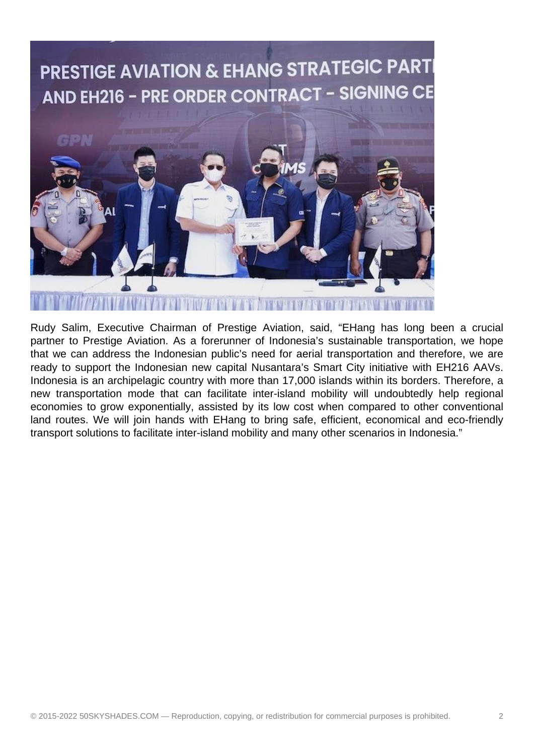

Rudy Salim, Executive Chairman of Prestige Aviation, said, "EHang has long been a crucial partner to Prestige Aviation. As a forerunner of Indonesia's sustainable transportation, we hope that we can address the Indonesian public's need for aerial transportation and therefore, we are ready to support the Indonesian new capital Nusantara's Smart City initiative with EH216 AAVs. Indonesia is an archipelagic country with more than 17,000 islands within its borders. Therefore, a new transportation mode that can facilitate inter-island mobility will undoubtedly help regional economies to grow exponentially, assisted by its low cost when compared to other conventional land routes. We will join hands with EHang to bring safe, efficient, economical and eco-friendly transport solutions to facilitate inter-island mobility and many other scenarios in Indonesia."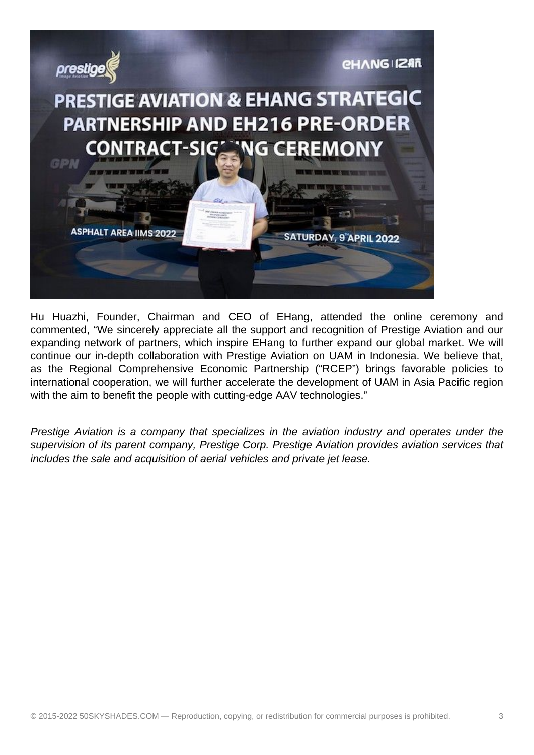

Hu Huazhi, Founder, Chairman and CEO of EHang, attended the online ceremony and commented, "We sincerely appreciate all the support and recognition of Prestige Aviation and our expanding network of partners, which inspire EHang to further expand our global market. We will continue our in-depth collaboration with Prestige Aviation on UAM in Indonesia. We believe that, as the Regional Comprehensive Economic Partnership ("RCEP") brings favorable policies to international cooperation, we will further accelerate the development of UAM in Asia Pacific region with the aim to benefit the people with cutting-edge AAV technologies."

Prestige Aviation is a company that specializes in the aviation industry and operates under the supervision of its parent company, Prestige Corp. Prestige Aviation provides aviation services that includes the sale and acquisition of aerial vehicles and private jet lease.